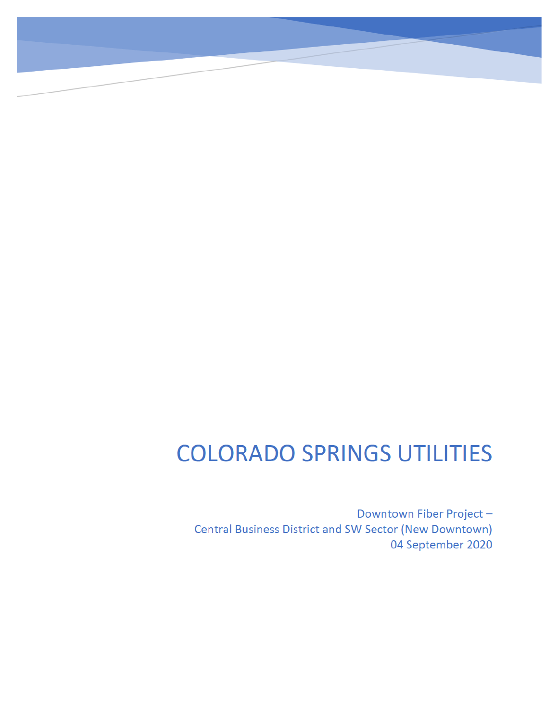# **COLORADO SPRINGS UTILITIES**

Downtown Fiber Project-**Central Business District and SW Sector (New Downtown)** 04 September 2020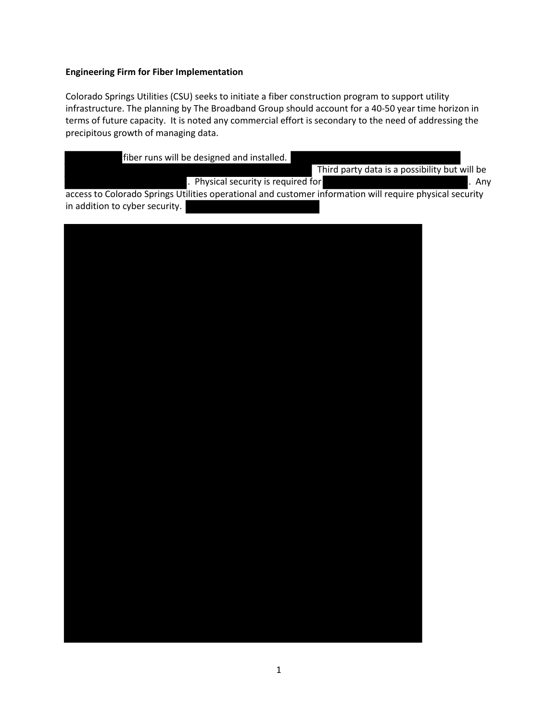# **Engineering Firm for Fiber Implementation**

Colorado Springs Utilities (CSU) seeks to initiate a fiber construction program to support utility infrastructure. The planning by The Broadband Group should account for a 40-50 year time horizon in terms of future capacity. It is noted any commercial effort is secondary to the need of addressing the precipitous growth of managing data.

| fiber runs will be designed and installed.                                                               |        |  |  |
|----------------------------------------------------------------------------------------------------------|--------|--|--|
| Third party data is a possibility but will be                                                            |        |  |  |
| . Physical security is required for                                                                      | l. Anv |  |  |
| access to Colorado Springs Utilities operational and customer information will require physical security |        |  |  |
| in addition to cyber security.                                                                           |        |  |  |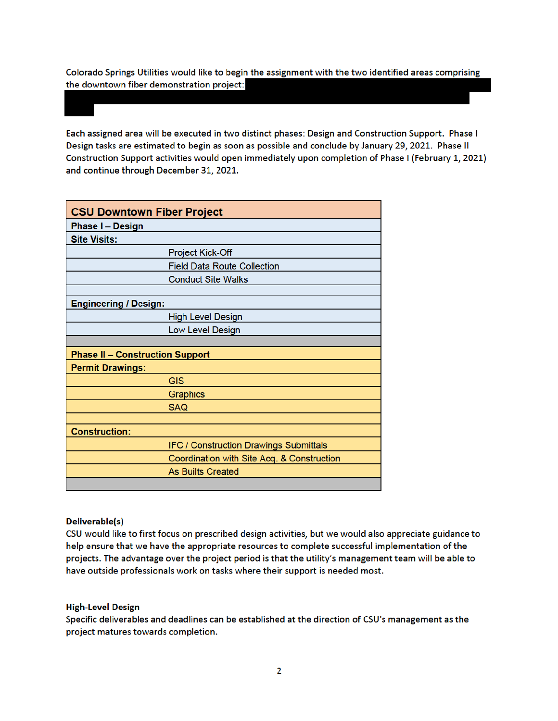Colorado Springs Utilities would like to begin the assignment with the two identified areas comprising the downtown fiber demonstration project:

Each assigned area will be executed in two distinct phases: Design and Construction Support. Phase I Design tasks are estimated to begin as soon as possible and conclude by January 29, 2021. Phase II Construction Support activities would open immediately upon completion of Phase I (February 1, 2021) and continue through December 31, 2021.

| <b>CSU Downtown Fiber Project</b>      |                                               |  |
|----------------------------------------|-----------------------------------------------|--|
| <b>Phase I - Design</b>                |                                               |  |
| <b>Site Visits:</b>                    |                                               |  |
|                                        | <b>Project Kick-Off</b>                       |  |
|                                        | <b>Field Data Route Collection</b>            |  |
|                                        | <b>Conduct Site Walks</b>                     |  |
|                                        |                                               |  |
| <b>Engineering / Design:</b>           |                                               |  |
|                                        | <b>High Level Design</b>                      |  |
|                                        | Low Level Design                              |  |
|                                        |                                               |  |
| <b>Phase II - Construction Support</b> |                                               |  |
| <b>Permit Drawings:</b>                |                                               |  |
|                                        | <b>GIS</b>                                    |  |
|                                        | Graphics                                      |  |
|                                        | <b>SAQ</b>                                    |  |
|                                        |                                               |  |
| <b>Construction:</b>                   |                                               |  |
|                                        | <b>IFC / Construction Drawings Submittals</b> |  |
|                                        | Coordination with Site Acq. & Construction    |  |
|                                        | <b>As Builts Created</b>                      |  |
|                                        |                                               |  |

# Deliverable(s)

CSU would like to first focus on prescribed design activities, but we would also appreciate guidance to help ensure that we have the appropriate resources to complete successful implementation of the projects. The advantage over the project period is that the utility's management team will be able to have outside professionals work on tasks where their support is needed most.

#### **High-Level Design**

Specific deliverables and deadlines can be established at the direction of CSU's management as the project matures towards completion.